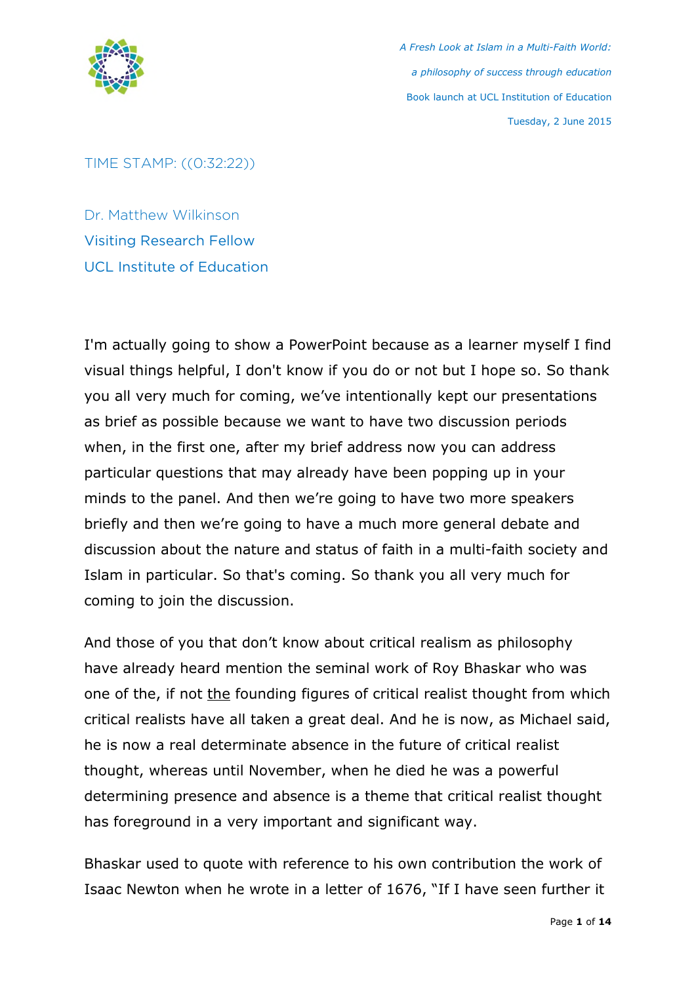

TIME STAMP: ((0:32:22))

Dr. Matthew Wilkinson Visiting Research Fellow UCL Institute of Education

I'm actually going to show a PowerPoint because as a learner myself I find visual things helpful, I don't know if you do or not but I hope so. So thank you all very much for coming, we've intentionally kept our presentations as brief as possible because we want to have two discussion periods when, in the first one, after my brief address now you can address particular questions that may already have been popping up in your minds to the panel. And then we're going to have two more speakers briefly and then we're going to have a much more general debate and discussion about the nature and status of faith in a multi-faith society and Islam in particular. So that's coming. So thank you all very much for coming to join the discussion.

And those of you that don't know about critical realism as philosophy have already heard mention the seminal work of Roy Bhaskar who was one of the, if not the founding figures of critical realist thought from which critical realists have all taken a great deal. And he is now, as Michael said, he is now a real determinate absence in the future of critical realist thought, whereas until November, when he died he was a powerful determining presence and absence is a theme that critical realist thought has foreground in a very important and significant way.

Bhaskar used to quote with reference to his own contribution the work of Isaac Newton when he wrote in a letter of 1676, "If I have seen further it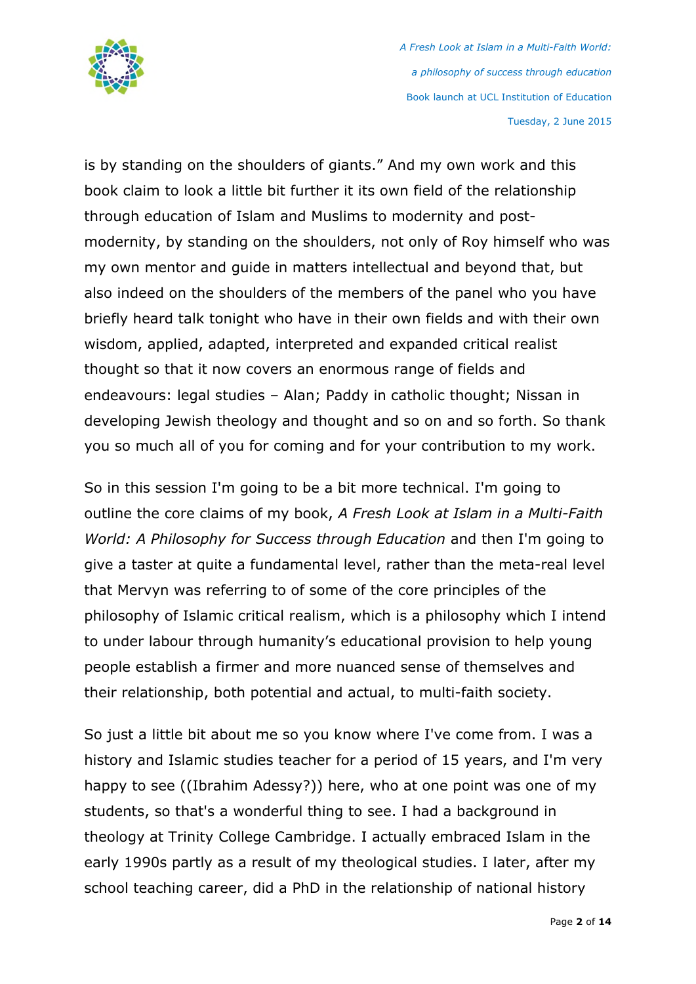

is by standing on the shoulders of giants." And my own work and this book claim to look a little bit further it its own field of the relationship through education of Islam and Muslims to modernity and postmodernity, by standing on the shoulders, not only of Roy himself who was my own mentor and guide in matters intellectual and beyond that, but also indeed on the shoulders of the members of the panel who you have briefly heard talk tonight who have in their own fields and with their own wisdom, applied, adapted, interpreted and expanded critical realist thought so that it now covers an enormous range of fields and endeavours: legal studies – Alan; Paddy in catholic thought; Nissan in developing Jewish theology and thought and so on and so forth. So thank you so much all of you for coming and for your contribution to my work.

So in this session I'm going to be a bit more technical. I'm going to outline the core claims of my book, *A Fresh Look at Islam in a Multi-Faith World: A Philosophy for Success through Education* and then I'm going to give a taster at quite a fundamental level, rather than the meta-real level that Mervyn was referring to of some of the core principles of the philosophy of Islamic critical realism, which is a philosophy which I intend to under labour through humanity's educational provision to help young people establish a firmer and more nuanced sense of themselves and their relationship, both potential and actual, to multi-faith society.

So just a little bit about me so you know where I've come from. I was a history and Islamic studies teacher for a period of 15 years, and I'm very happy to see ((Ibrahim Adessy?)) here, who at one point was one of my students, so that's a wonderful thing to see. I had a background in theology at Trinity College Cambridge. I actually embraced Islam in the early 1990s partly as a result of my theological studies. I later, after my school teaching career, did a PhD in the relationship of national history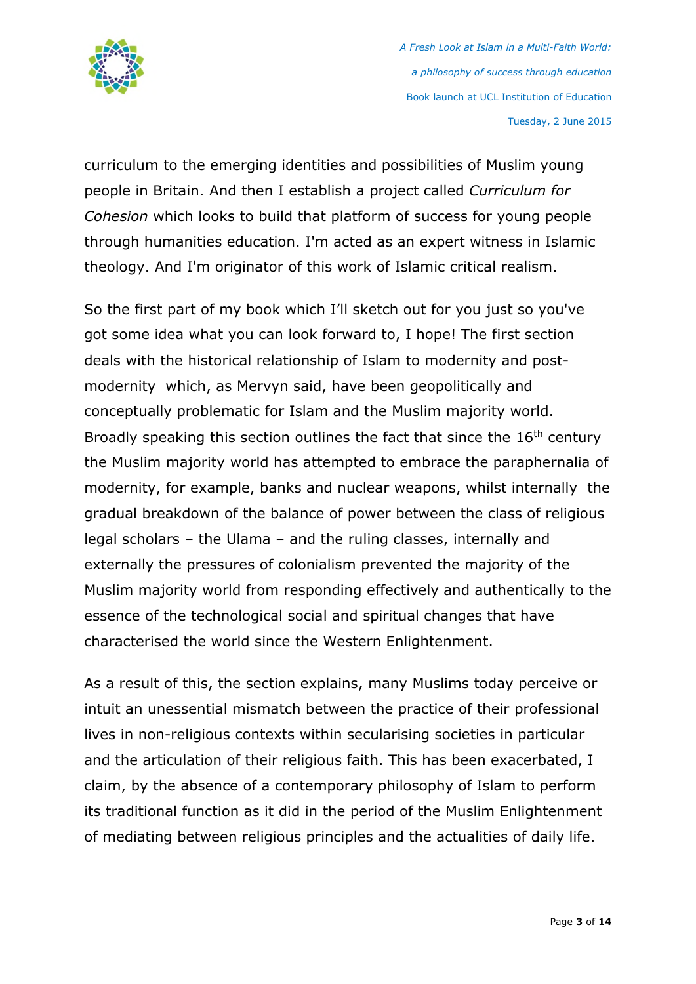

curriculum to the emerging identities and possibilities of Muslim young people in Britain. And then I establish a project called *Curriculum for Cohesion* which looks to build that platform of success for young people through humanities education. I'm acted as an expert witness in Islamic theology. And I'm originator of this work of Islamic critical realism.

So the first part of my book which I'll sketch out for you just so you've got some idea what you can look forward to, I hope! The first section deals with the historical relationship of Islam to modernity and postmodernity which, as Mervyn said, have been geopolitically and conceptually problematic for Islam and the Muslim majority world. Broadly speaking this section outlines the fact that since the 16<sup>th</sup> century the Muslim majority world has attempted to embrace the paraphernalia of modernity, for example, banks and nuclear weapons, whilst internally the gradual breakdown of the balance of power between the class of religious legal scholars – the Ulama – and the ruling classes, internally and externally the pressures of colonialism prevented the majority of the Muslim majority world from responding effectively and authentically to the essence of the technological social and spiritual changes that have characterised the world since the Western Enlightenment.

As a result of this, the section explains, many Muslims today perceive or intuit an unessential mismatch between the practice of their professional lives in non-religious contexts within secularising societies in particular and the articulation of their religious faith. This has been exacerbated, I claim, by the absence of a contemporary philosophy of Islam to perform its traditional function as it did in the period of the Muslim Enlightenment of mediating between religious principles and the actualities of daily life.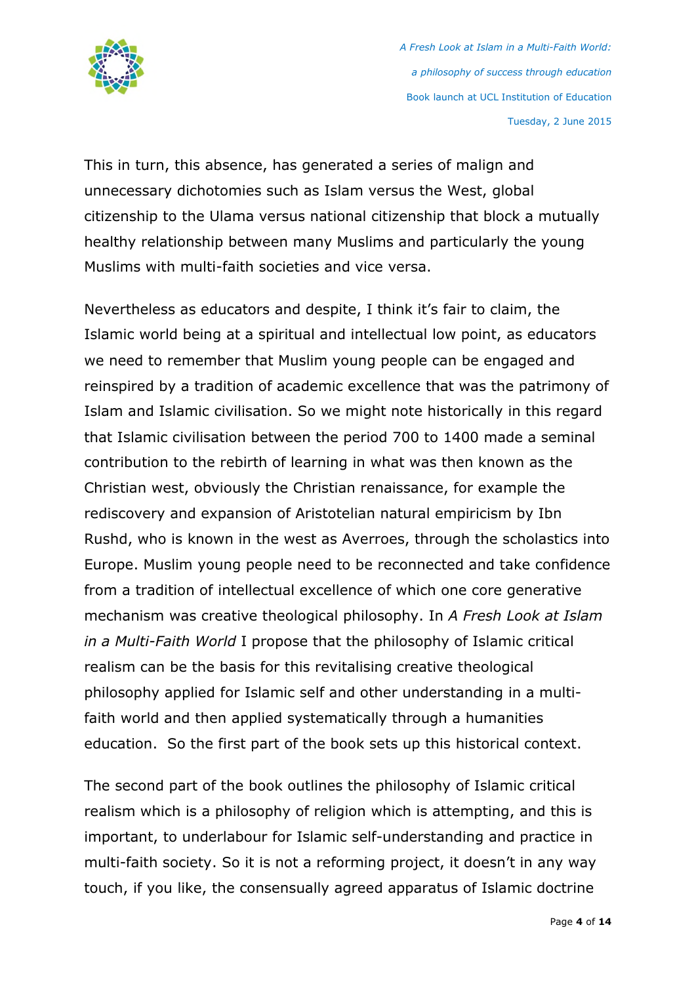

This in turn, this absence, has generated a series of malign and unnecessary dichotomies such as Islam versus the West, global citizenship to the Ulama versus national citizenship that block a mutually healthy relationship between many Muslims and particularly the young Muslims with multi-faith societies and vice versa.

Nevertheless as educators and despite, I think it's fair to claim, the Islamic world being at a spiritual and intellectual low point, as educators we need to remember that Muslim young people can be engaged and reinspired by a tradition of academic excellence that was the patrimony of Islam and Islamic civilisation. So we might note historically in this regard that Islamic civilisation between the period 700 to 1400 made a seminal contribution to the rebirth of learning in what was then known as the Christian west, obviously the Christian renaissance, for example the rediscovery and expansion of Aristotelian natural empiricism by Ibn Rushd, who is known in the west as Averroes, through the scholastics into Europe. Muslim young people need to be reconnected and take confidence from a tradition of intellectual excellence of which one core generative mechanism was creative theological philosophy. In *A Fresh Look at Islam in a Multi-Faith World* I propose that the philosophy of Islamic critical realism can be the basis for this revitalising creative theological philosophy applied for Islamic self and other understanding in a multifaith world and then applied systematically through a humanities education. So the first part of the book sets up this historical context.

The second part of the book outlines the philosophy of Islamic critical realism which is a philosophy of religion which is attempting, and this is important, to underlabour for Islamic self-understanding and practice in multi-faith society. So it is not a reforming project, it doesn't in any way touch, if you like, the consensually agreed apparatus of Islamic doctrine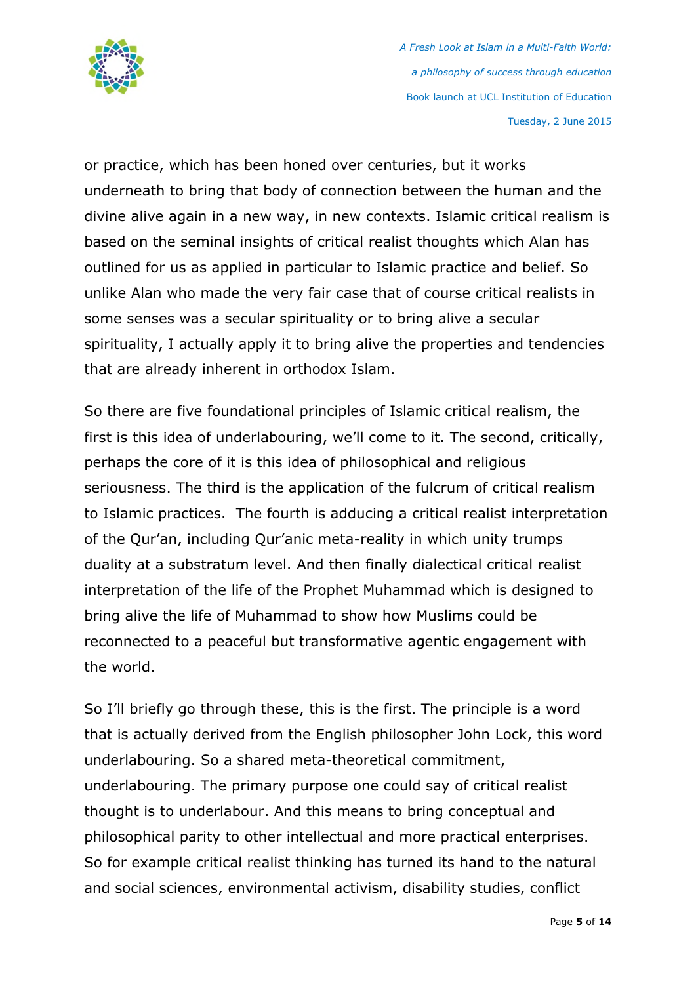

or practice, which has been honed over centuries, but it works underneath to bring that body of connection between the human and the divine alive again in a new way, in new contexts. Islamic critical realism is based on the seminal insights of critical realist thoughts which Alan has outlined for us as applied in particular to Islamic practice and belief. So unlike Alan who made the very fair case that of course critical realists in some senses was a secular spirituality or to bring alive a secular spirituality, I actually apply it to bring alive the properties and tendencies that are already inherent in orthodox Islam.

So there are five foundational principles of Islamic critical realism, the first is this idea of underlabouring, we'll come to it. The second, critically, perhaps the core of it is this idea of philosophical and religious seriousness. The third is the application of the fulcrum of critical realism to Islamic practices. The fourth is adducing a critical realist interpretation of the Qur'an, including Qur'anic meta-reality in which unity trumps duality at a substratum level. And then finally dialectical critical realist interpretation of the life of the Prophet Muhammad which is designed to bring alive the life of Muhammad to show how Muslims could be reconnected to a peaceful but transformative agentic engagement with the world.

So I'll briefly go through these, this is the first. The principle is a word that is actually derived from the English philosopher John Lock, this word underlabouring. So a shared meta-theoretical commitment, underlabouring. The primary purpose one could say of critical realist thought is to underlabour. And this means to bring conceptual and philosophical parity to other intellectual and more practical enterprises. So for example critical realist thinking has turned its hand to the natural and social sciences, environmental activism, disability studies, conflict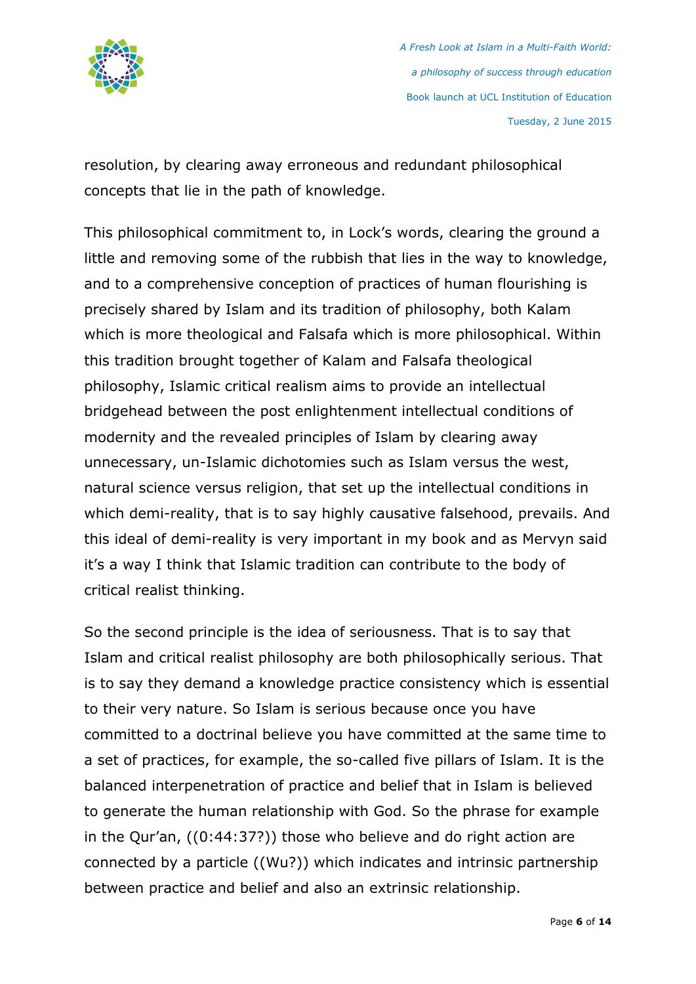

resolution, by clearing away erroneous and redundant philosophical concepts that lie in the path of knowledge.

This philosophical commitment to, in Lock's words, clearing the ground a little and removing some of the rubbish that lies in the way to knowledge, and to a comprehensive conception of practices of human flourishing is precisely shared by Islam and its tradition of philosophy, both Kalam which is more theological and Falsafa which is more philosophical. Within this tradition brought together of Kalam and Falsafa theological philosophy, Islamic critical realism aims to provide an intellectual bridgehead between the post enlightenment intellectual conditions of modernity and the revealed principles of Islam by clearing away unnecessary, un-Islamic dichotomies such as Islam versus the west, natural science versus religion, that set up the intellectual conditions in which demi-reality, that is to say highly causative falsehood, prevails. And this ideal of demi-reality is very important in my book and as Mervyn said it's a way I think that Islamic tradition can contribute to the body of critical realist thinking.

So the second principle is the idea of seriousness. That is to say that Islam and critical realist philosophy are both philosophically serious. That is to say they demand a knowledge practice consistency which is essential to their very nature. So Islam is serious because once you have committed to a doctrinal believe you have committed at the same time to a set of practices, for example, the so-called five pillars of Islam. It is the balanced interpenetration of practice and belief that in Islam is believed to generate the human relationship with God. So the phrase for example in the Qur'an, ((0:44:37?)) those who believe and do right action are connected by a particle ((Wu?)) which indicates and intrinsic partnership between practice and belief and also an extrinsic relationship.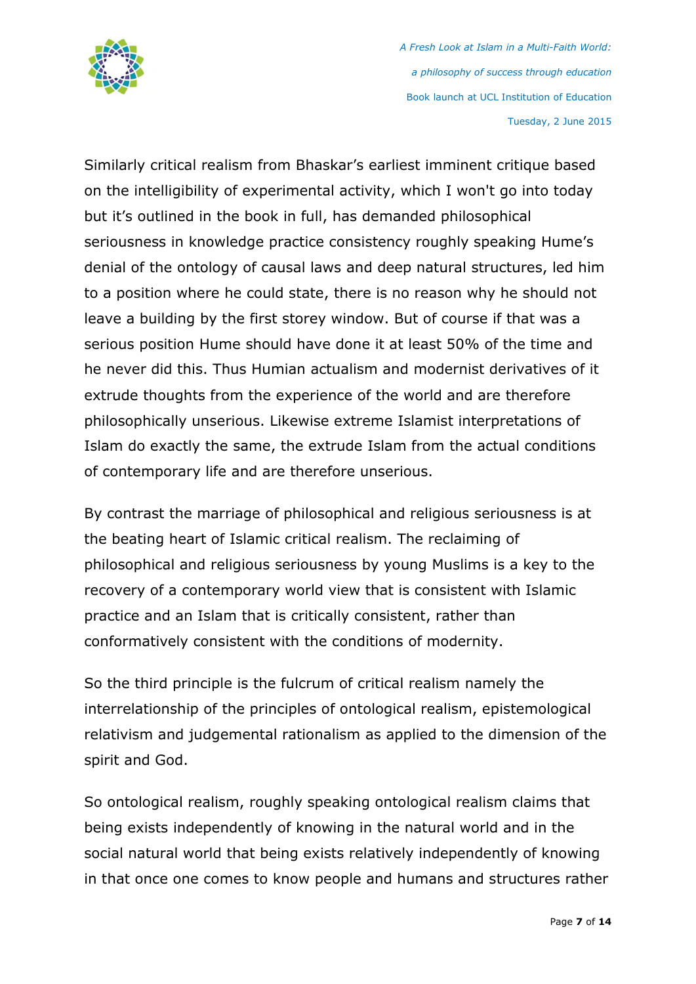

Similarly critical realism from Bhaskar's earliest imminent critique based on the intelligibility of experimental activity, which I won't go into today but it's outlined in the book in full, has demanded philosophical seriousness in knowledge practice consistency roughly speaking Hume's denial of the ontology of causal laws and deep natural structures, led him to a position where he could state, there is no reason why he should not leave a building by the first storey window. But of course if that was a serious position Hume should have done it at least 50% of the time and he never did this. Thus Humian actualism and modernist derivatives of it extrude thoughts from the experience of the world and are therefore philosophically unserious. Likewise extreme Islamist interpretations of Islam do exactly the same, the extrude Islam from the actual conditions of contemporary life and are therefore unserious.

By contrast the marriage of philosophical and religious seriousness is at the beating heart of Islamic critical realism. The reclaiming of philosophical and religious seriousness by young Muslims is a key to the recovery of a contemporary world view that is consistent with Islamic practice and an Islam that is critically consistent, rather than conformatively consistent with the conditions of modernity.

So the third principle is the fulcrum of critical realism namely the interrelationship of the principles of ontological realism, epistemological relativism and judgemental rationalism as applied to the dimension of the spirit and God.

So ontological realism, roughly speaking ontological realism claims that being exists independently of knowing in the natural world and in the social natural world that being exists relatively independently of knowing in that once one comes to know people and humans and structures rather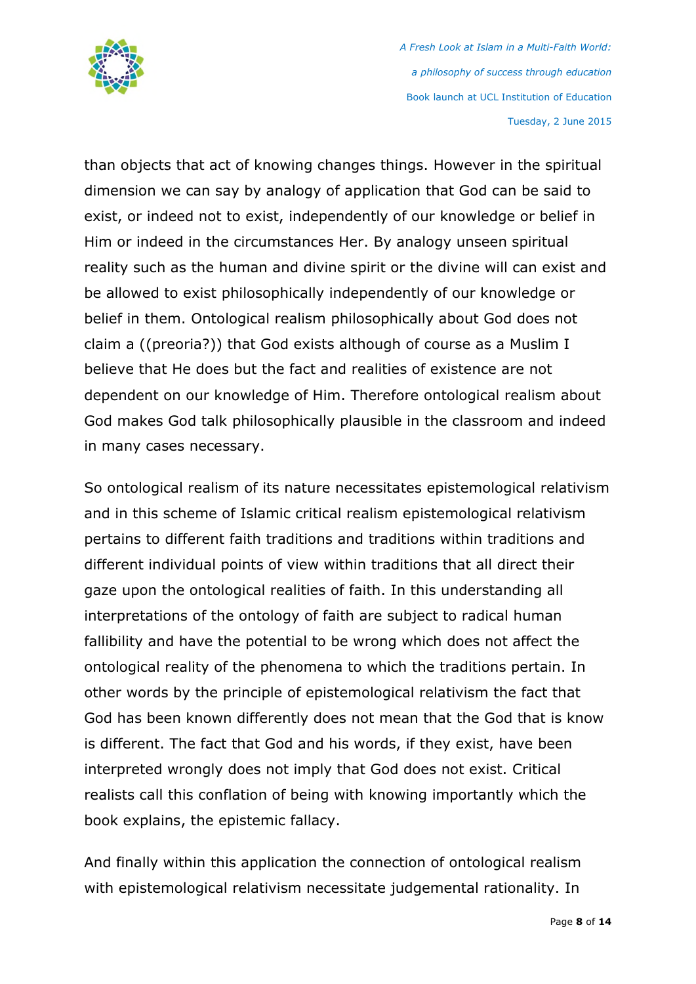

than objects that act of knowing changes things. However in the spiritual dimension we can say by analogy of application that God can be said to exist, or indeed not to exist, independently of our knowledge or belief in Him or indeed in the circumstances Her. By analogy unseen spiritual reality such as the human and divine spirit or the divine will can exist and be allowed to exist philosophically independently of our knowledge or belief in them. Ontological realism philosophically about God does not claim a ((preoria?)) that God exists although of course as a Muslim I believe that He does but the fact and realities of existence are not dependent on our knowledge of Him. Therefore ontological realism about God makes God talk philosophically plausible in the classroom and indeed in many cases necessary.

So ontological realism of its nature necessitates epistemological relativism and in this scheme of Islamic critical realism epistemological relativism pertains to different faith traditions and traditions within traditions and different individual points of view within traditions that all direct their gaze upon the ontological realities of faith. In this understanding all interpretations of the ontology of faith are subject to radical human fallibility and have the potential to be wrong which does not affect the ontological reality of the phenomena to which the traditions pertain. In other words by the principle of epistemological relativism the fact that God has been known differently does not mean that the God that is know is different. The fact that God and his words, if they exist, have been interpreted wrongly does not imply that God does not exist. Critical realists call this conflation of being with knowing importantly which the book explains, the epistemic fallacy.

And finally within this application the connection of ontological realism with epistemological relativism necessitate judgemental rationality. In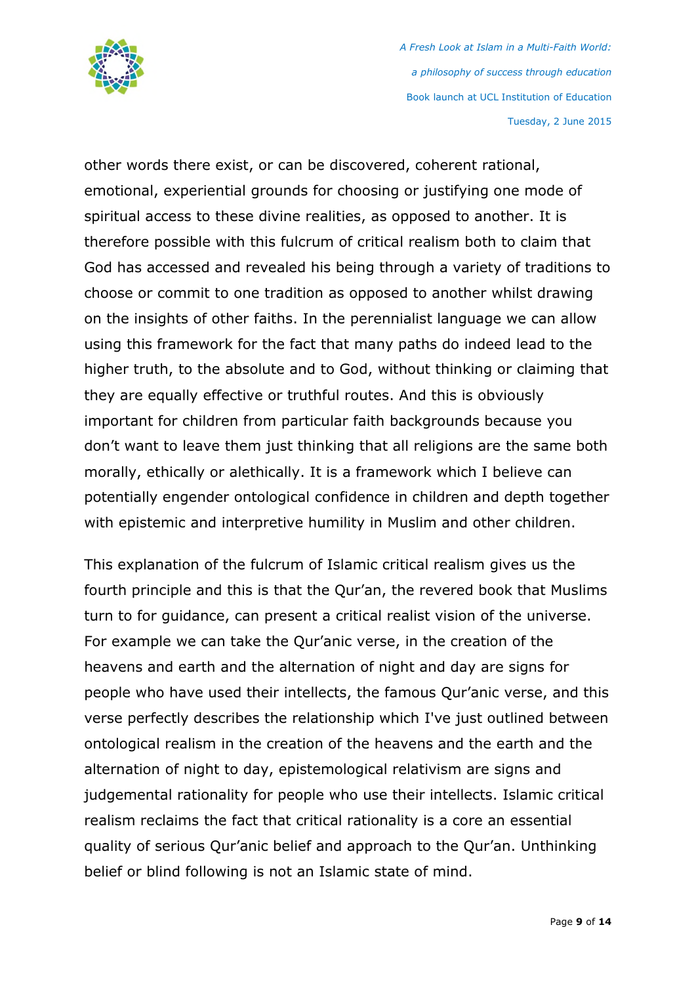

other words there exist, or can be discovered, coherent rational, emotional, experiential grounds for choosing or justifying one mode of spiritual access to these divine realities, as opposed to another. It is therefore possible with this fulcrum of critical realism both to claim that God has accessed and revealed his being through a variety of traditions to choose or commit to one tradition as opposed to another whilst drawing on the insights of other faiths. In the perennialist language we can allow using this framework for the fact that many paths do indeed lead to the higher truth, to the absolute and to God, without thinking or claiming that they are equally effective or truthful routes. And this is obviously important for children from particular faith backgrounds because you don't want to leave them just thinking that all religions are the same both morally, ethically or alethically. It is a framework which I believe can potentially engender ontological confidence in children and depth together with epistemic and interpretive humility in Muslim and other children.

This explanation of the fulcrum of Islamic critical realism gives us the fourth principle and this is that the Qur'an, the revered book that Muslims turn to for guidance, can present a critical realist vision of the universe. For example we can take the Qur'anic verse, in the creation of the heavens and earth and the alternation of night and day are signs for people who have used their intellects, the famous Qur'anic verse, and this verse perfectly describes the relationship which I've just outlined between ontological realism in the creation of the heavens and the earth and the alternation of night to day, epistemological relativism are signs and judgemental rationality for people who use their intellects. Islamic critical realism reclaims the fact that critical rationality is a core an essential quality of serious Qur'anic belief and approach to the Qur'an. Unthinking belief or blind following is not an Islamic state of mind.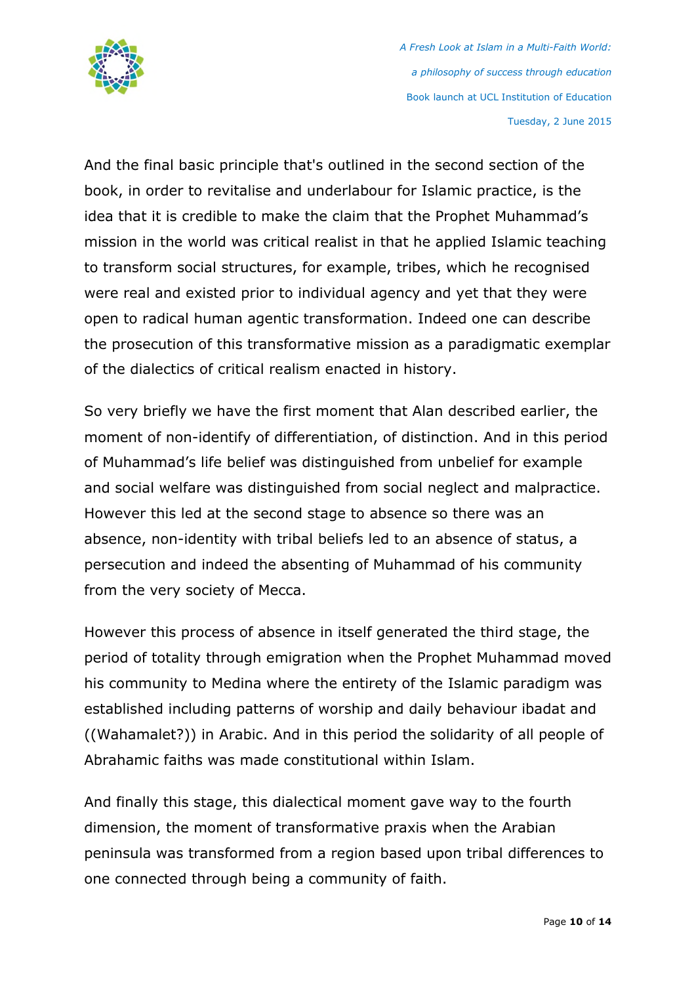

And the final basic principle that's outlined in the second section of the book, in order to revitalise and underlabour for Islamic practice, is the idea that it is credible to make the claim that the Prophet Muhammad's mission in the world was critical realist in that he applied Islamic teaching to transform social structures, for example, tribes, which he recognised were real and existed prior to individual agency and yet that they were open to radical human agentic transformation. Indeed one can describe the prosecution of this transformative mission as a paradigmatic exemplar of the dialectics of critical realism enacted in history.

So very briefly we have the first moment that Alan described earlier, the moment of non-identify of differentiation, of distinction. And in this period of Muhammad's life belief was distinguished from unbelief for example and social welfare was distinguished from social neglect and malpractice. However this led at the second stage to absence so there was an absence, non-identity with tribal beliefs led to an absence of status, a persecution and indeed the absenting of Muhammad of his community from the very society of Mecca.

However this process of absence in itself generated the third stage, the period of totality through emigration when the Prophet Muhammad moved his community to Medina where the entirety of the Islamic paradigm was established including patterns of worship and daily behaviour ibadat and ((Wahamalet?)) in Arabic. And in this period the solidarity of all people of Abrahamic faiths was made constitutional within Islam.

And finally this stage, this dialectical moment gave way to the fourth dimension, the moment of transformative praxis when the Arabian peninsula was transformed from a region based upon tribal differences to one connected through being a community of faith.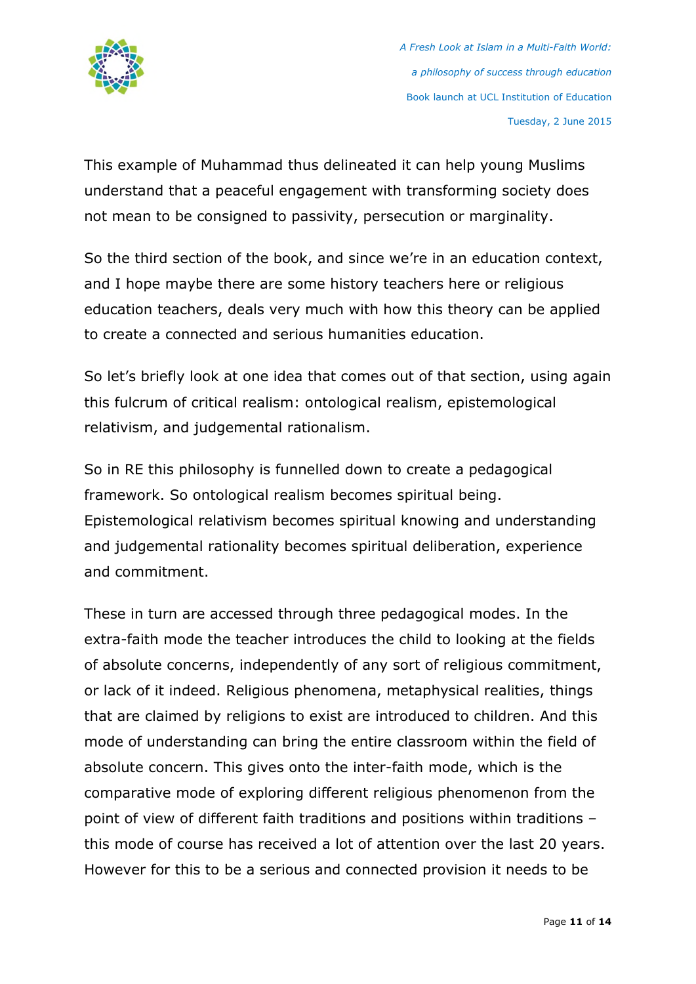

This example of Muhammad thus delineated it can help young Muslims understand that a peaceful engagement with transforming society does not mean to be consigned to passivity, persecution or marginality.

So the third section of the book, and since we're in an education context, and I hope maybe there are some history teachers here or religious education teachers, deals very much with how this theory can be applied to create a connected and serious humanities education.

So let's briefly look at one idea that comes out of that section, using again this fulcrum of critical realism: ontological realism, epistemological relativism, and judgemental rationalism.

So in RE this philosophy is funnelled down to create a pedagogical framework. So ontological realism becomes spiritual being. Epistemological relativism becomes spiritual knowing and understanding and judgemental rationality becomes spiritual deliberation, experience and commitment.

These in turn are accessed through three pedagogical modes. In the extra-faith mode the teacher introduces the child to looking at the fields of absolute concerns, independently of any sort of religious commitment, or lack of it indeed. Religious phenomena, metaphysical realities, things that are claimed by religions to exist are introduced to children. And this mode of understanding can bring the entire classroom within the field of absolute concern. This gives onto the inter-faith mode, which is the comparative mode of exploring different religious phenomenon from the point of view of different faith traditions and positions within traditions – this mode of course has received a lot of attention over the last 20 years. However for this to be a serious and connected provision it needs to be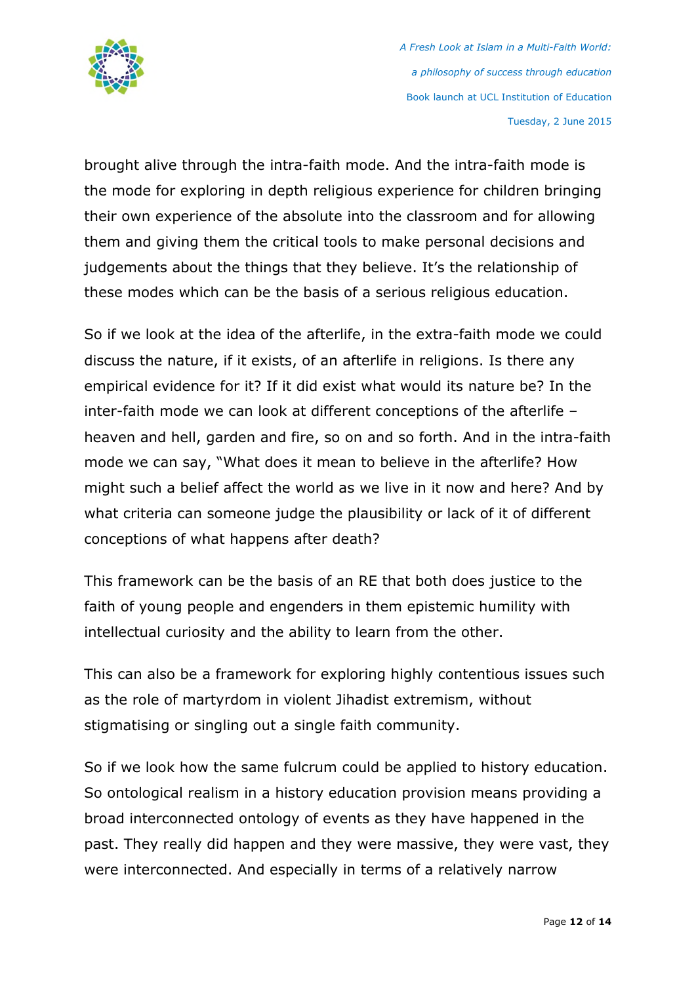

brought alive through the intra-faith mode. And the intra-faith mode is the mode for exploring in depth religious experience for children bringing their own experience of the absolute into the classroom and for allowing them and giving them the critical tools to make personal decisions and judgements about the things that they believe. It's the relationship of these modes which can be the basis of a serious religious education.

So if we look at the idea of the afterlife, in the extra-faith mode we could discuss the nature, if it exists, of an afterlife in religions. Is there any empirical evidence for it? If it did exist what would its nature be? In the inter-faith mode we can look at different conceptions of the afterlife – heaven and hell, garden and fire, so on and so forth. And in the intra-faith mode we can say, "What does it mean to believe in the afterlife? How might such a belief affect the world as we live in it now and here? And by what criteria can someone judge the plausibility or lack of it of different conceptions of what happens after death?

This framework can be the basis of an RE that both does justice to the faith of young people and engenders in them epistemic humility with intellectual curiosity and the ability to learn from the other.

This can also be a framework for exploring highly contentious issues such as the role of martyrdom in violent Jihadist extremism, without stigmatising or singling out a single faith community.

So if we look how the same fulcrum could be applied to history education. So ontological realism in a history education provision means providing a broad interconnected ontology of events as they have happened in the past. They really did happen and they were massive, they were vast, they were interconnected. And especially in terms of a relatively narrow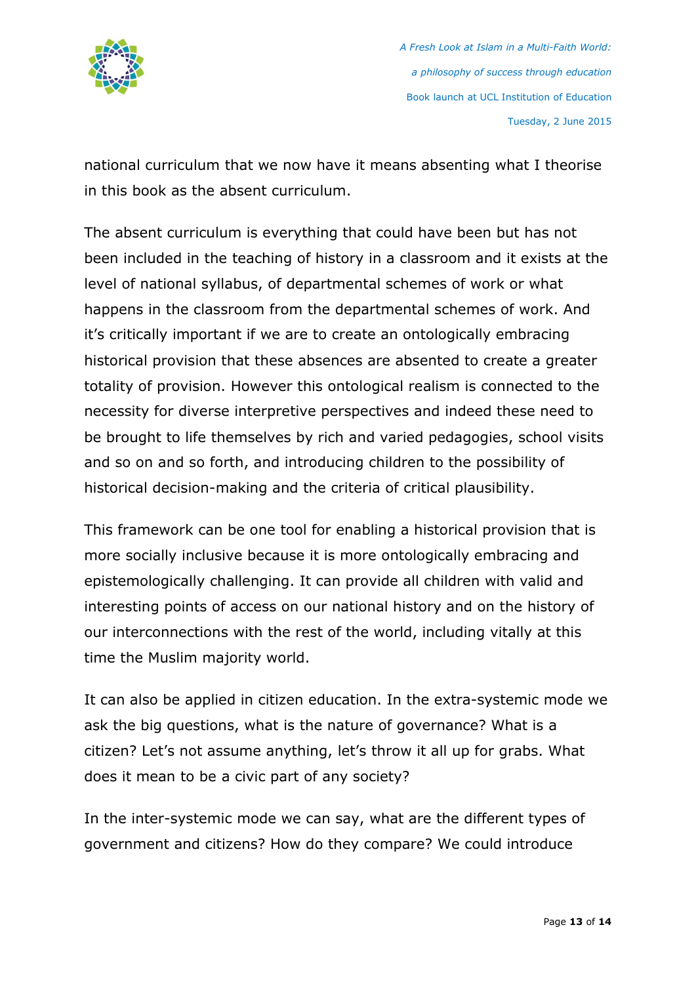

national curriculum that we now have it means absenting what I theorise in this book as the absent curriculum.

The absent curriculum is everything that could have been but has not been included in the teaching of history in a classroom and it exists at the level of national syllabus, of departmental schemes of work or what happens in the classroom from the departmental schemes of work. And it's critically important if we are to create an ontologically embracing historical provision that these absences are absented to create a greater totality of provision. However this ontological realism is connected to the necessity for diverse interpretive perspectives and indeed these need to be brought to life themselves by rich and varied pedagogies, school visits and so on and so forth, and introducing children to the possibility of historical decision-making and the criteria of critical plausibility.

This framework can be one tool for enabling a historical provision that is more socially inclusive because it is more ontologically embracing and epistemologically challenging. It can provide all children with valid and interesting points of access on our national history and on the history of our interconnections with the rest of the world, including vitally at this time the Muslim majority world.

It can also be applied in citizen education. In the extra-systemic mode we ask the big questions, what is the nature of governance? What is a citizen? Let's not assume anything, let's throw it all up for grabs. What does it mean to be a civic part of any society?

In the inter-systemic mode we can say, what are the different types of government and citizens? How do they compare? We could introduce